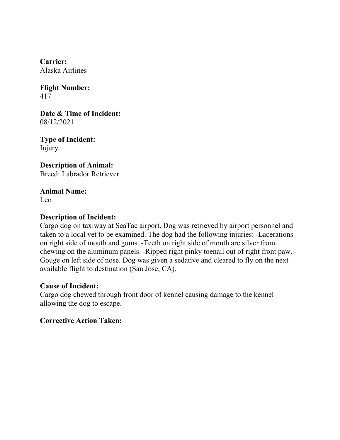**Flight Number:** 417

**Date & Time of Incident:** 08/12/2021

**Type of Incident:** Injury

**Description of Animal:** Breed: Labrador Retriever

**Animal Name:** Leo

### **Description of Incident:**

Cargo dog on taxiway at SeaTac airport. Dog was retrieved by airport personnel and taken to a local vet to be examined. The dog had the following injuries: -Lacerations on right side of mouth and gums. -Teeth on right side of mouth are silver from chewing on the aluminum panels. -Ripped right pinky toenail out of right front paw. - Gouge on left side of nose. Dog was given a sedative and cleared to fly on the next available flight to destination (San Jose, CA).

#### **Cause of Incident:**

Cargo dog chewed through front door of kennel causing damage to the kennel allowing the dog to escape.

**Corrective Action Taken:**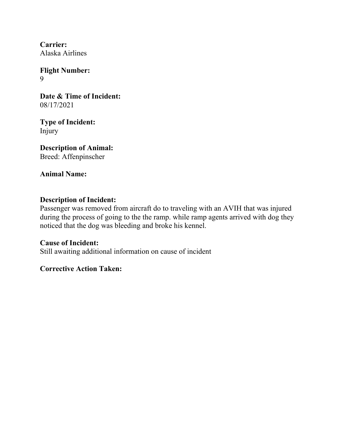**Flight Number:** 9

**Date & Time of Incident:** 08/17/2021

**Type of Incident:** Injury

**Description of Animal:** Breed: Affenpinscher

**Animal Name:**

# **Description of Incident:**

Passenger was removed from aircraft do to traveling with an AVIH that was injured during the process of going to the the ramp. while ramp agents arrived with dog they noticed that the dog was bleeding and broke his kennel.

**Cause of Incident:** Still awaiting additional information on cause of incident

# **Corrective Action Taken:**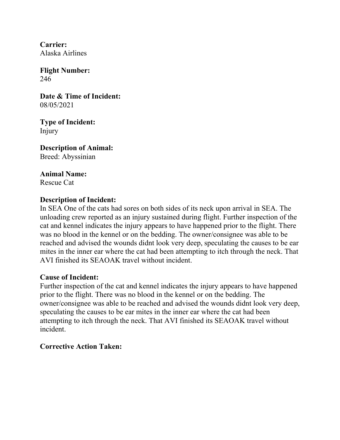**Flight Number:** 246

**Date & Time of Incident:** 08/05/2021

**Type of Incident:** Injury

**Description of Animal:** Breed: Abyssinian

**Animal Name:** Rescue Cat

# **Description of Incident:**

In SEA One of the cats had sores on both sides of its neck upon arrival in SEA. The unloading crew reported as an injury sustained during flight. Further inspection of the cat and kennel indicates the injury appears to have happened prior to the flight. There was no blood in the kennel or on the bedding. The owner/consignee was able to be reached and advised the wounds didnt look very deep, speculating the causes to be ear mites in the inner ear where the cat had been attempting to itch through the neck. That AVI finished its SEAOAK travel without incident.

### **Cause of Incident:**

Further inspection of the cat and kennel indicates the injury appears to have happened prior to the flight. There was no blood in the kennel or on the bedding. The owner/consignee was able to be reached and advised the wounds didnt look very deep, speculating the causes to be ear mites in the inner ear where the cat had been attempting to itch through the neck. That AVI finished its SEAOAK travel without incident.

# **Corrective Action Taken:**